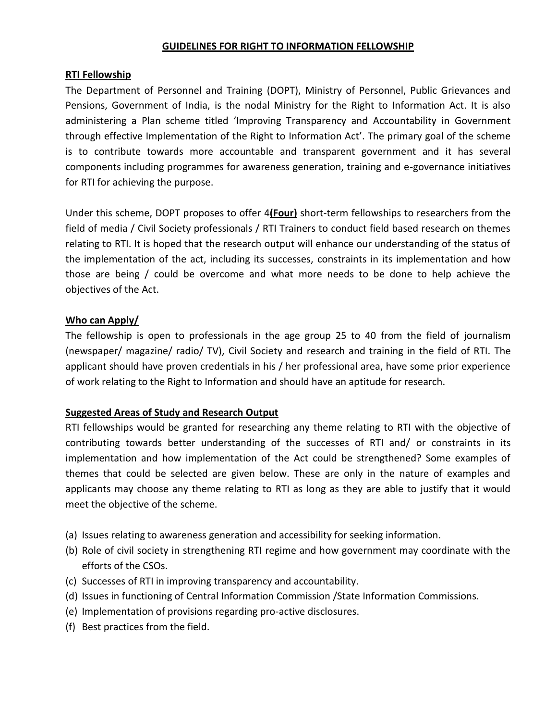#### **GUIDELINES FOR RIGHT TO INFORMATION FELLOWSHIP**

### **RTI Fellowship**

The Department of Personnel and Training (DOPT), Ministry of Personnel, Public Grievances and Pensions, Government of India, is the nodal Ministry for the Right to Information Act. It is also administering a Plan scheme titled 'Improving Transparency and Accountability in Government through effective Implementation of the Right to Information Act'. The primary goal of the scheme is to contribute towards more accountable and transparent government and it has several components including programmes for awareness generation, training and e-governance initiatives for RTI for achieving the purpose.

Under this scheme, DOPT proposes to offer 4**(Four)** short-term fellowships to researchers from the field of media / Civil Society professionals / RTI Trainers to conduct field based research on themes relating to RTI. It is hoped that the research output will enhance our understanding of the status of the implementation of the act, including its successes, constraints in its implementation and how those are being / could be overcome and what more needs to be done to help achieve the objectives of the Act.

#### **Who can Apply/**

The fellowship is open to professionals in the age group 25 to 40 from the field of journalism (newspaper/ magazine/ radio/ TV), Civil Society and research and training in the field of RTI. The applicant should have proven credentials in his / her professional area, have some prior experience of work relating to the Right to Information and should have an aptitude for research.

### **Suggested Areas of Study and Research Output**

RTI fellowships would be granted for researching any theme relating to RTI with the objective of contributing towards better understanding of the successes of RTI and/ or constraints in its implementation and how implementation of the Act could be strengthened? Some examples of themes that could be selected are given below. These are only in the nature of examples and applicants may choose any theme relating to RTI as long as they are able to justify that it would meet the objective of the scheme.

- (a) Issues relating to awareness generation and accessibility for seeking information.
- (b) Role of civil society in strengthening RTI regime and how government may coordinate with the efforts of the CSOs.
- (c) Successes of RTI in improving transparency and accountability.
- (d) Issues in functioning of Central Information Commission /State Information Commissions.
- (e) Implementation of provisions regarding pro-active disclosures.
- (f) Best practices from the field.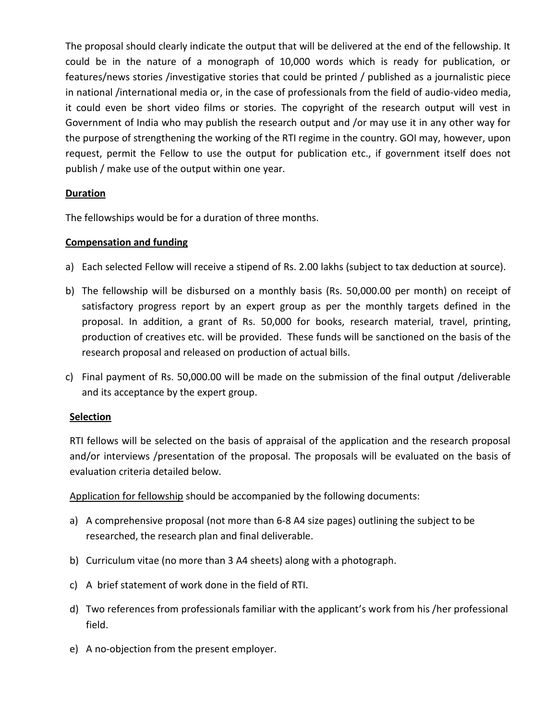The proposal should clearly indicate the output that will be delivered at the end of the fellowship. It could be in the nature of a monograph of 10,000 words which is ready for publication, or features/news stories /investigative stories that could be printed / published as a journalistic piece in national /international media or, in the case of professionals from the field of audio-video media, it could even be short video films or stories. The copyright of the research output will vest in Government of India who may publish the research output and /or may use it in any other way for the purpose of strengthening the working of the RTI regime in the country. GOI may, however, upon request, permit the Fellow to use the output for publication etc., if government itself does not publish / make use of the output within one year.

## **Duration**

The fellowships would be for a duration of three months.

### **Compensation and funding**

- a) Each selected Fellow will receive a stipend of Rs. 2.00 lakhs (subject to tax deduction at source).
- b) The fellowship will be disbursed on a monthly basis (Rs. 50,000.00 per month) on receipt of satisfactory progress report by an expert group as per the monthly targets defined in the proposal. In addition, a grant of Rs. 50,000 for books, research material, travel, printing, production of creatives etc. will be provided. These funds will be sanctioned on the basis of the research proposal and released on production of actual bills.
- c) Final payment of Rs. 50,000.00 will be made on the submission of the final output /deliverable and its acceptance by the expert group.

### **Selection**

RTI fellows will be selected on the basis of appraisal of the application and the research proposal and/or interviews /presentation of the proposal. The proposals will be evaluated on the basis of evaluation criteria detailed below.

Application for fellowship should be accompanied by the following documents:

- a) A comprehensive proposal (not more than 6-8 A4 size pages) outlining the subject to be researched, the research plan and final deliverable.
- b) Curriculum vitae (no more than 3 A4 sheets) along with a photograph.
- c) A brief statement of work done in the field of RTI.
- d) Two references from professionals familiar with the applicant's work from his /her professional field.
- e) A no-objection from the present employer.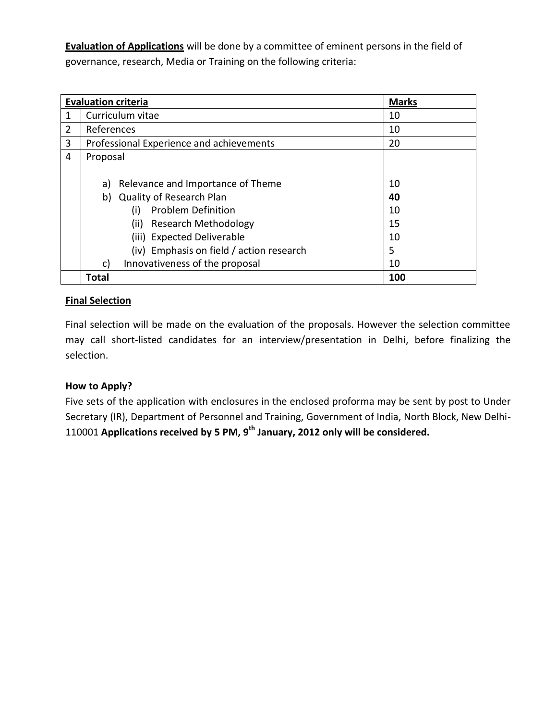**Evaluation of Applications** will be done by a committee of eminent persons in the field of governance, research, Media or Training on the following criteria:

|   | <b>Evaluation criteria</b>               | <b>Marks</b> |
|---|------------------------------------------|--------------|
| 1 | Curriculum vitae                         | 10           |
| 2 | References                               | 10           |
| 3 | Professional Experience and achievements | 20           |
| 4 | Proposal                                 |              |
|   |                                          |              |
|   | Relevance and Importance of Theme<br>a)  | 10           |
|   | <b>Quality of Research Plan</b><br>b)    | 40           |
|   | <b>Problem Definition</b><br>(i)         | 10           |
|   | Research Methodology<br>(ii)             | 15           |
|   | (iii) Expected Deliverable               | 10           |
|   | (iv) Emphasis on field / action research | 5            |
|   | Innovativeness of the proposal<br>c)     | 10           |
|   | <b>Total</b>                             | 100          |

# **Final Selection**

Final selection will be made on the evaluation of the proposals. However the selection committee may call short-listed candidates for an interview/presentation in Delhi, before finalizing the selection.

## **How to Apply?**

Five sets of the application with enclosures in the enclosed proforma may be sent by post to Under Secretary (IR), Department of Personnel and Training, Government of India, North Block, New Delhi-110001 **Applications received by 5 PM, 9 th January, 2012 only will be considered.**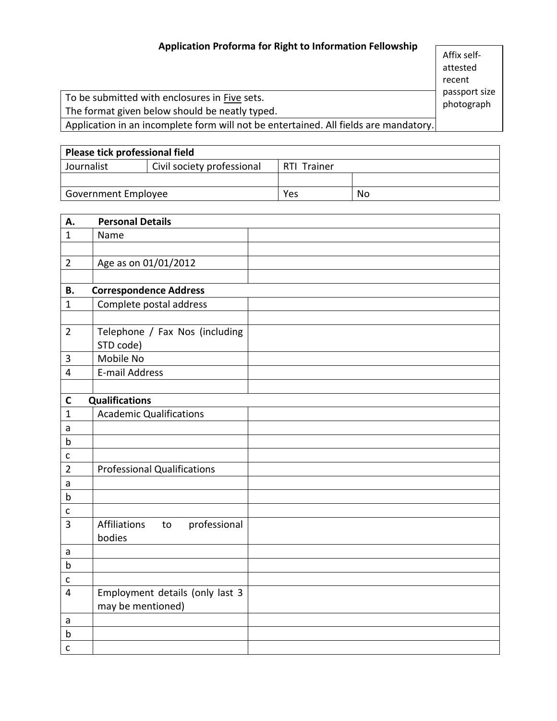# **Application Proforma for Right to Information Fellowship**

Affix selfattested recent passport size photograph

To be submitted with enclosures in Five sets. The format given below should be neatly typed.

Application in an incomplete form will not be entertained. All fields are mandatory.

| Please tick professional field |                            |             |    |  |  |  |  |
|--------------------------------|----------------------------|-------------|----|--|--|--|--|
| Journalist                     | Civil society professional | RTI Trainer |    |  |  |  |  |
|                                |                            |             |    |  |  |  |  |
| Government Employee            |                            | Yes         | No |  |  |  |  |

| А.                                    | <b>Personal Details</b>                   |  |  |
|---------------------------------------|-------------------------------------------|--|--|
| $\mathbf{1}$                          | Name                                      |  |  |
|                                       |                                           |  |  |
| $\overline{2}$                        | Age as on 01/01/2012                      |  |  |
|                                       |                                           |  |  |
| <b>B.</b>                             | <b>Correspondence Address</b>             |  |  |
| $\mathbf{1}$                          | Complete postal address                   |  |  |
|                                       |                                           |  |  |
| $\overline{2}$                        | Telephone / Fax Nos (including            |  |  |
|                                       | STD code)                                 |  |  |
| $\mathbf{3}$                          | Mobile No                                 |  |  |
| $\overline{\mathbf{4}}$               | E-mail Address                            |  |  |
|                                       |                                           |  |  |
| <b>Qualifications</b><br>$\mathsf{C}$ |                                           |  |  |
| $\mathbf{1}$                          | <b>Academic Qualifications</b>            |  |  |
| a                                     |                                           |  |  |
| $\mathsf b$                           |                                           |  |  |
| $\mathsf{C}$                          |                                           |  |  |
| $\overline{2}$                        | <b>Professional Qualifications</b>        |  |  |
| a                                     |                                           |  |  |
| $\mathbf b$                           |                                           |  |  |
| C                                     |                                           |  |  |
| 3                                     | <b>Affiliations</b><br>professional<br>to |  |  |
|                                       | bodies                                    |  |  |
| a                                     |                                           |  |  |
| $\mathsf b$                           |                                           |  |  |
| $\mathsf{C}$                          |                                           |  |  |
| 4                                     | Employment details (only last 3           |  |  |
|                                       | may be mentioned)                         |  |  |
| a                                     |                                           |  |  |
| $\mathsf b$                           |                                           |  |  |
| $\mathsf{C}$                          |                                           |  |  |